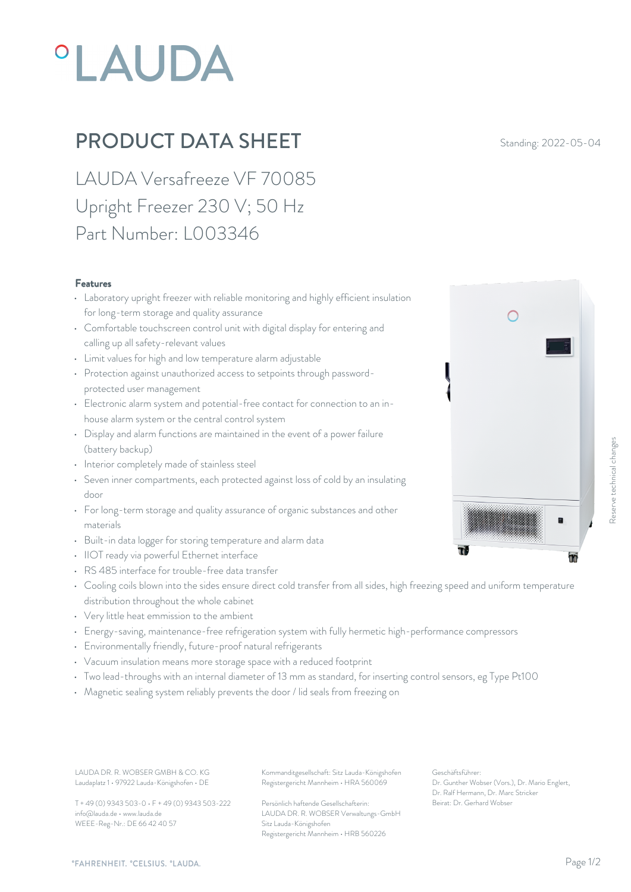## **°LAUDA**

## **PRODUCT DATA SHEET** Standing: 2022-05-04

LAUDA Versafreeze VF 70085 Upright Freezer 230 V; 50 Hz Part Number: L003346

## Features

- Laboratory upright freezer with reliable monitoring and highly efficient insulation for long-term storage and quality assurance
- Comfortable touchscreen control unit with digital display for entering and calling up all safety-relevant values
- Limit values for high and low temperature alarm adjustable
- Protection against unauthorized access to setpoints through passwordprotected user management
- Electronic alarm system and potential-free contact for connection to an inhouse alarm system or the central control system
- Display and alarm functions are maintained in the event of a power failure (battery backup)
- Interior completely made of stainless steel
- Seven inner compartments, each protected against loss of cold by an insulating door
- For long-term storage and quality assurance of organic substances and other materials
- Built-in data logger for storing temperature and alarm data
- IIOT ready via powerful Ethernet interface
- RS 485 interface for trouble-free data transfer
- Cooling coils blown into the sides ensure direct cold transfer from all sides, high freezing speed and uniform temperature distribution throughout the whole cabinet
- Very little heat emmission to the ambient
- Energy-saving, maintenance-free refrigeration system with fully hermetic high-performance compressors
- Environmentally friendly, future-proof natural refrigerants
- Vacuum insulation means more storage space with a reduced footprint
- Two lead-throughs with an internal diameter of 13 mm as standard, for inserting control sensors, eg Type Pt100
- Magnetic sealing system reliably prevents the door / lid seals from freezing on

Laudaplatz 1 • 97922 Lauda-Königshofen • DE

T + 49 (0) 9343 503-0 • F + 49 (0) 9343 503-222 info@lauda.de • www.lauda.de WEEE-Reg-Nr.: DE 66 42 40 57

LAUDA DR. R. WOBSER GMBH & CO. KG Kommanditgesellschaft: Sitz Lauda-Königshofen Geschäftsführer: Registergericht Mannheim • HRA 560069

> Persönlich haftende Gesellschafterin: Beirat: Dr. Gerhard Wobse LAUDA DR. R. WOBSER Verwaltungs-GmbH Sitz Lauda-Königshofen Registergericht Mannheim • HRB 560226

Geschäftsführer: Dr. Gunther Wobser (Vors.), Dr. Mario Englert, Dr. Ralf Hermann, Dr. Marc Stricker